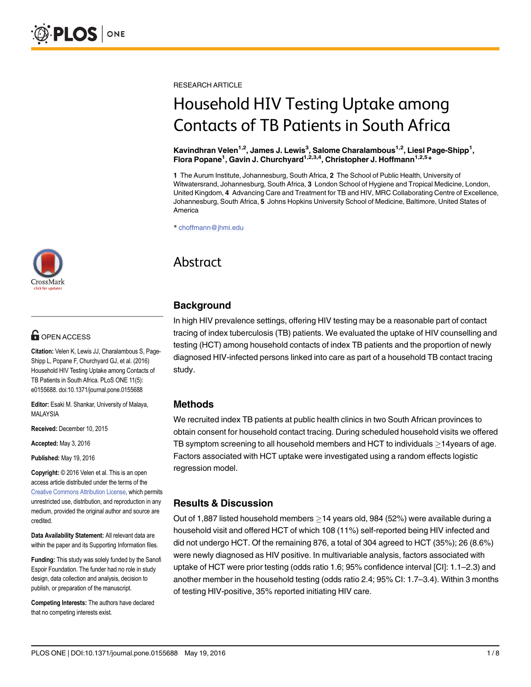RESEARCH ARTICLE

# Household HIV Testing Uptake among Contacts of TB Patients in South Africa

Kavindhran Velen<sup>1,2</sup>, James J. Lewis<sup>3</sup>, Salome Charalambous<sup>1,2</sup>, Liesl Page-Shipp<sup>1</sup>, Flora Popane<sup>1</sup>, Gavin J. Churchyard<sup>1,2,3,4</sup>, Christopher J. Hoffmann<sup>1,2,5</sup>\*

1 The Aurum Institute, Johannesburg, South Africa, 2 The School of Public Health, University of Witwatersrand, Johannesburg, South Africa, 3 London School of Hygiene and Tropical Medicine, London, United Kingdom, 4 Advancing Care and Treatment for TB and HIV, MRC Collaborating Centre of Excellence, Johannesburg, South Africa, 5 Johns Hopkins University School of Medicine, Baltimore, United States of America

\* choffmann@jhmi.edu

# Abstract

## **Background**

In high HIV prevalence settings, offering HIV testing may be a reasonable part of contact tracing of index tuberculosis (TB) patients. We evaluated the uptake of HIV counselling and testing (HCT) among household contacts of index TB patients and the proportion of newly diagnosed HIV-infected persons linked into care as part of a household TB contact tracing study.

## Methods

We recruited index TB patients at public health clinics in two South African provinces to obtain consent for household contact tracing. During scheduled household visits we offered TB symptom screening to all household members and HCT to individuals  $\geq$ 14years of age. Factors associated with HCT uptake were investigated using a random effects logistic regression model.

## Results & Discussion

Out of 1,887 listed household members  $\geq$  14 years old, 984 (52%) were available during a household visit and offered HCT of which 108 (11%) self-reported being HIV infected and did not undergo HCT. Of the remaining 876, a total of 304 agreed to HCT (35%); 26 (8.6%) were newly diagnosed as HIV positive. In multivariable analysis, factors associated with uptake of HCT were prior testing (odds ratio 1.6; 95% confidence interval [CI]: 1.1–2.3) and another member in the household testing (odds ratio 2.4; 95% CI: 1.7–3.4). Within 3 months of testing HIV-positive, 35% reported initiating HIV care.



## **OPEN ACCESS**

Citation: Velen K, Lewis JJ, Charalambous S, Page-Shipp L, Popane F, Churchyard GJ, et al. (2016) Household HIV Testing Uptake among Contacts of TB Patients in South Africa. PLoS ONE 11(5): e0155688. doi:10.1371/journal.pone.0155688

Editor: Esaki M. Shankar, University of Malaya, MALAYSIA

Received: December 10, 2015

Accepted: May 3, 2016

Published: May 19, 2016

Copyright: © 2016 Velen et al. This is an open access article distributed under the terms of the [Creative Commons Attribution License,](http://creativecommons.org/licenses/by/4.0/) which permits unrestricted use, distribution, and reproduction in any medium, provided the original author and source are credited.

Data Availability Statement: All relevant data are within the paper and its Supporting Information files.

Funding: This study was solely funded by the Sanofi Espoir Foundation. The funder had no role in study design, data collection and analysis, decision to publish, or preparation of the manuscript.

Competing Interests: The authors have declared that no competing interests exist.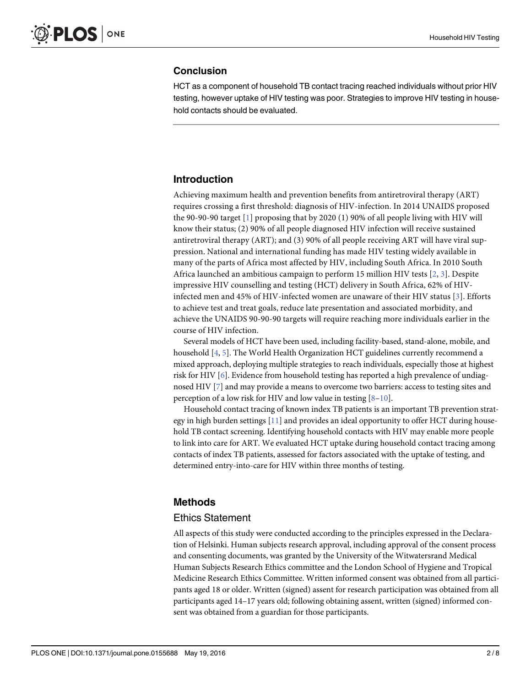## <span id="page-1-0"></span>Conclusion

HCT as a component of household TB contact tracing reached individuals without prior HIV testing, however uptake of HIV testing was poor. Strategies to improve HIV testing in household contacts should be evaluated.

#### Introduction

Achieving maximum health and prevention benefits from antiretroviral therapy (ART) requires crossing a first threshold: diagnosis of HIV-infection. In 2014 UNAIDS proposed the 90-90-90 target  $[1]$  $[1]$  proposing that by 2020 (1) 90% of all people living with HIV will know their status; (2) 90% of all people diagnosed HIV infection will receive sustained antiretroviral therapy (ART); and (3) 90% of all people receiving ART will have viral suppression. National and international funding has made HIV testing widely available in many of the parts of Africa most affected by HIV, including South Africa. In 2010 South Africa launched an ambitious campaign to perform 15 million HIV tests [[2,](#page-6-0) [3](#page-6-0)]. Despite impressive HIV counselling and testing (HCT) delivery in South Africa, 62% of HIVinfected men and 45% of HIV-infected women are unaware of their HIV status [\[3](#page-6-0)]. Efforts to achieve test and treat goals, reduce late presentation and associated morbidity, and achieve the UNAIDS 90-90-90 targets will require reaching more individuals earlier in the course of HIV infection.

Several models of HCT have been used, including facility-based, stand-alone, mobile, and household [\[4,](#page-6-0) [5](#page-6-0)]. The World Health Organization HCT guidelines currently recommend a mixed approach, deploying multiple strategies to reach individuals, especially those at highest risk for HIV  $[6]$  $[6]$ . Evidence from household testing has reported a high prevalence of undiagnosed HIV [\[7](#page-6-0)] and may provide a means to overcome two barriers: access to testing sites and perception of a low risk for HIV and low value in testing [\[8](#page-7-0)–[10\]](#page-7-0).

Household contact tracing of known index TB patients is an important TB prevention strategy in high burden settings [\[11](#page-7-0)] and provides an ideal opportunity to offer HCT during household TB contact screening. Identifying household contacts with HIV may enable more people to link into care for ART. We evaluated HCT uptake during household contact tracing among contacts of index TB patients, assessed for factors associated with the uptake of testing, and determined entry-into-care for HIV within three months of testing.

## Methods

### Ethics Statement

All aspects of this study were conducted according to the principles expressed in the Declaration of Helsinki. Human subjects research approval, including approval of the consent process and consenting documents, was granted by the University of the Witwatersrand Medical Human Subjects Research Ethics committee and the London School of Hygiene and Tropical Medicine Research Ethics Committee. Written informed consent was obtained from all participants aged 18 or older. Written (signed) assent for research participation was obtained from all participants aged 14–17 years old; following obtaining assent, written (signed) informed consent was obtained from a guardian for those participants.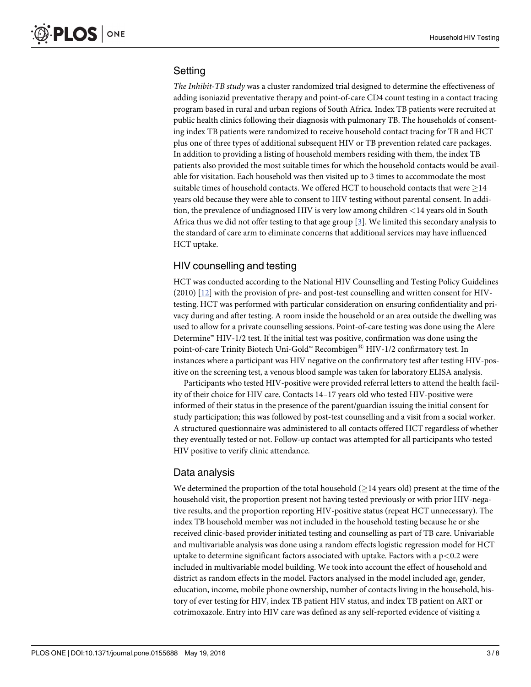## <span id="page-2-0"></span>**Setting**

The Inhibit-TB study was a cluster randomized trial designed to determine the effectiveness of adding isoniazid preventative therapy and point-of-care CD4 count testing in a contact tracing program based in rural and urban regions of South Africa. Index TB patients were recruited at public health clinics following their diagnosis with pulmonary TB. The households of consenting index TB patients were randomized to receive household contact tracing for TB and HCT plus one of three types of additional subsequent HIV or TB prevention related care packages. In addition to providing a listing of household members residing with them, the index TB patients also provided the most suitable times for which the household contacts would be available for visitation. Each household was then visited up to 3 times to accommodate the most suitable times of household contacts. We offered HCT to household contacts that were  $>$ 14 years old because they were able to consent to HIV testing without parental consent. In addition, the prevalence of undiagnosed HIV is very low among children <14 years old in South Africa thus we did not offer testing to that age group  $[3]$  $[3]$  $[3]$ . We limited this secondary analysis to the standard of care arm to eliminate concerns that additional services may have influenced HCT uptake.

## HIV counselling and testing

HCT was conducted according to the National HIV Counselling and Testing Policy Guidelines (2010) [[12](#page-7-0)] with the provision of pre- and post-test counselling and written consent for HIVtesting. HCT was performed with particular consideration on ensuring confidentiality and privacy during and after testing. A room inside the household or an area outside the dwelling was used to allow for a private counselling sessions. Point-of-care testing was done using the Alere Determine™ HIV-1/2 test. If the initial test was positive, confirmation was done using the point-of-care Trinity Biotech Uni-Gold™ Recombigen<sup>®</sup> HIV-1/2 confirmatory test. In instances where a participant was HIV negative on the confirmatory test after testing HIV-positive on the screening test, a venous blood sample was taken for laboratory ELISA analysis.

Participants who tested HIV-positive were provided referral letters to attend the health facility of their choice for HIV care. Contacts 14–17 years old who tested HIV-positive were informed of their status in the presence of the parent/guardian issuing the initial consent for study participation; this was followed by post-test counselling and a visit from a social worker. A structured questionnaire was administered to all contacts offered HCT regardless of whether they eventually tested or not. Follow-up contact was attempted for all participants who tested HIV positive to verify clinic attendance.

## Data analysis

We determined the proportion of the total household ( $\geq$ 14 years old) present at the time of the household visit, the proportion present not having tested previously or with prior HIV-negative results, and the proportion reporting HIV-positive status (repeat HCT unnecessary). The index TB household member was not included in the household testing because he or she received clinic-based provider initiated testing and counselling as part of TB care. Univariable and multivariable analysis was done using a random effects logistic regression model for HCT uptake to determine significant factors associated with uptake. Factors with a  $p<0.2$  were included in multivariable model building. We took into account the effect of household and district as random effects in the model. Factors analysed in the model included age, gender, education, income, mobile phone ownership, number of contacts living in the household, history of ever testing for HIV, index TB patient HIV status, and index TB patient on ART or cotrimoxazole. Entry into HIV care was defined as any self-reported evidence of visiting a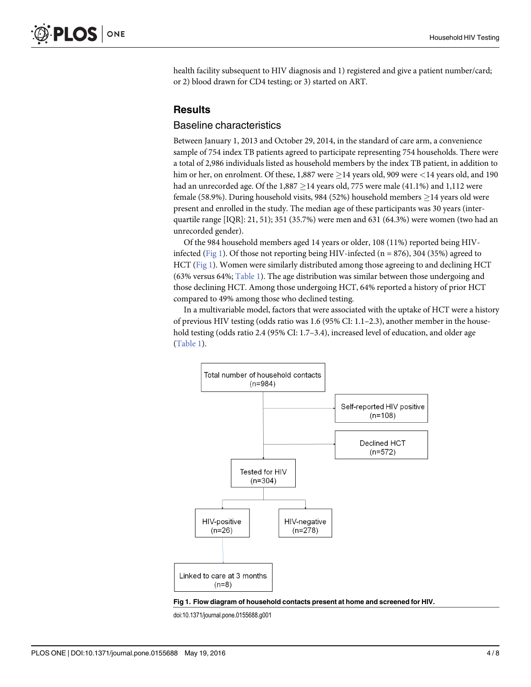<span id="page-3-0"></span>health facility subsequent to HIV diagnosis and 1) registered and give a patient number/card; or 2) blood drawn for CD4 testing; or 3) started on ART.

## **Results**

## Baseline characteristics

Between January 1, 2013 and October 29, 2014, in the standard of care arm, a convenience sample of 754 index TB patients agreed to participate representing 754 households. There were a total of 2,986 individuals listed as household members by the index TB patient, in addition to him or her, on enrolment. Of these, 1,887 were  $\geq$  14 years old, 909 were <14 years old, and 190 had an unrecorded age. Of the  $1,887 \ge 14$  years old, 775 were male (41.1%) and 1,112 were female (58.9%). During household visits, 984 (52%) household members  $>$ 14 years old were present and enrolled in the study. The median age of these participants was 30 years (interquartile range [IQR]: 21, 51); 351 (35.7%) were men and 631 (64.3%) were women (two had an unrecorded gender).

Of the 984 household members aged 14 years or older, 108 (11%) reported being HIVinfected (Fig 1). Of those not reporting being HIV-infected ( $n = 876$ ), 304 (35%) agreed to HCT (Fig 1). Women were similarly distributed among those agreeing to and declining HCT (63% versus 64%;  $Table 1$ ). The age distribution was similar between those undergoing and those declining HCT. Among those undergoing HCT, 64% reported a history of prior HCT compared to 49% among those who declined testing.

In a multivariable model, factors that were associated with the uptake of HCT were a history of previous HIV testing (odds ratio was 1.6 (95% CI: 1.1–2.3), another member in the household testing (odds ratio 2.4 (95% CI: 1.7–3.4), increased level of education, and older age [\(Table 1\)](#page-4-0).



Fig 1. Flow diagram of household contacts present at home and screened for HIV.

doi:10.1371/journal.pone.0155688.g001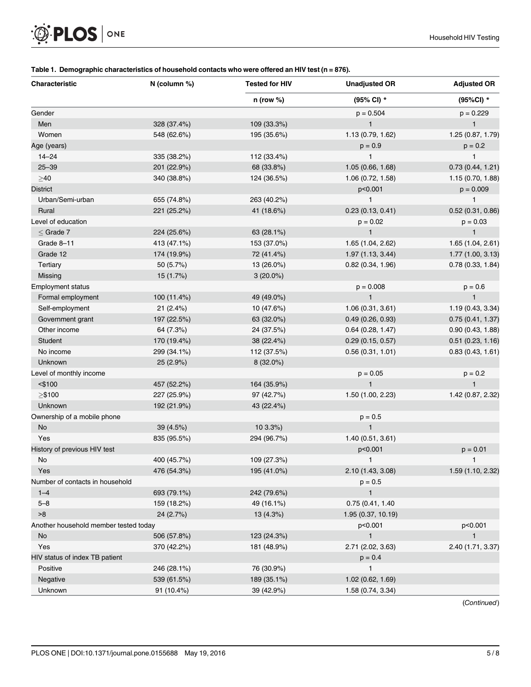#### [Table 1.](#page-3-0) Demographic characteristics of household contacts who were offered an HIV test (n = 876).

<span id="page-4-0"></span> $\mathcal{L}(\mathbb{R})$  PLOS  $|\circ\mathsf{NE}|$ 

| Characteristic                        | N (column %) | <b>Tested for HIV</b><br>$n$ (row $%$ ) | <b>Unadjusted OR</b><br>(95% CI) * | <b>Adjusted OR</b><br>(95%CI) * |
|---------------------------------------|--------------|-----------------------------------------|------------------------------------|---------------------------------|
|                                       |              |                                         |                                    |                                 |
| Gender                                |              |                                         | $p = 0.504$                        | $p = 0.229$                     |
| Men                                   | 328 (37.4%)  | 109 (33.3%)                             | $\mathbf{1}$                       | $\mathbf{1}$                    |
| Women                                 | 548 (62.6%)  | 195 (35.6%)                             | 1.13 (0.79, 1.62)                  | 1.25 (0.87, 1.79)               |
| Age (years)                           |              |                                         | $p = 0.9$                          | $p = 0.2$                       |
| $14 - 24$                             | 335 (38.2%)  | 112 (33.4%)                             | $\mathbf{1}$                       | 1                               |
| $25 - 39$                             | 201 (22.9%)  | 68 (33.8%)                              | 1.05 (0.66, 1.68)                  | 0.73(0.44, 1.21)                |
| $\geq 40$                             | 340 (38.8%)  | 124 (36.5%)                             | 1.06 (0.72, 1.58)                  | 1.15 (0.70, 1.88)               |
| <b>District</b>                       |              |                                         | p<0.001                            | $p = 0.009$                     |
| Urban/Semi-urban                      | 655 (74.8%)  | 263 (40.2%)                             | $\mathbf{1}$                       | 1                               |
| Rural                                 | 221 (25.2%)  | 41 (18.6%)                              | 0.23(0.13, 0.41)                   | 0.52(0.31, 0.86)                |
| Level of education                    |              |                                         | $p = 0.02$                         | $p = 0.03$                      |
| $\leq$ Grade 7                        | 224 (25.6%)  | 63 (28.1%)                              | $\mathbf{1}$                       | $\mathbf{1}$                    |
| Grade 8-11                            | 413 (47.1%)  | 153 (37.0%)                             | 1.65 (1.04, 2.62)                  | 1.65 (1.04, 2.61)               |
| Grade 12                              | 174 (19.9%)  | 72 (41.4%)                              | 1.97(1.13, 3.44)                   | 1.77(1.00, 3.13)                |
| Tertiary                              | 50 (5.7%)    | 13 (26.0%)                              | 0.82(0.34, 1.96)                   | 0.78(0.33, 1.84)                |
| Missing                               | 15 (1.7%)    | $3(20.0\%)$                             |                                    |                                 |
| <b>Employment status</b>              |              |                                         | $p = 0.008$                        | $p = 0.6$                       |
| Formal employment                     | 100 (11.4%)  | 49 (49.0%)                              | $\mathbf{1}$                       | $\mathbf{1}$                    |
| Self-employment                       | 21(2.4%)     | 10 (47.6%)                              | 1.06(0.31, 3.61)                   | 1.19(0.43, 3.34)                |
| Government grant                      | 197 (22.5%)  | 63 (32.0%)                              | 0.49(0.26, 0.93)                   | 0.75(0.41, 1.37)                |
| Other income                          | 64 (7.3%)    | 24 (37.5%)                              | $0.64$ (0.28, 1.47)                | 0.90(0.43, 1.88)                |
| Student                               | 170 (19.4%)  | 38 (22.4%)                              | 0.29(0.15, 0.57)                   | 0.51(0.23, 1.16)                |
| No income                             | 299 (34.1%)  | 112 (37.5%)                             | 0.56(0.31, 1.01)                   | 0.83(0.43, 1.61)                |
| Unknown                               | 25 (2.9%)    | 8 (32.0%)                               |                                    |                                 |
| Level of monthly income               |              |                                         | $p = 0.05$                         | $p = 0.2$                       |
| $<$ \$100                             | 457 (52.2%)  | 164 (35.9%)                             | $\mathbf{1}$                       | $\mathbf{1}$                    |
| $\geq$ \$100                          | 227 (25.9%)  | 97 (42.7%)                              | 1.50 (1.00, 2.23)                  | 1.42 (0.87, 2.32)               |
| Unknown                               | 192 (21.9%)  | 43 (22.4%)                              |                                    |                                 |
| Ownership of a mobile phone           |              |                                         | $p = 0.5$                          |                                 |
| No                                    | 39 (4.5%)    | $103.3\%)$                              | $\mathbf{1}$                       |                                 |
| Yes                                   | 835 (95.5%)  | 294 (96.7%)                             | 1.40 (0.51, 3.61)                  |                                 |
| History of previous HIV test          |              |                                         | p<0.001                            | $p = 0.01$                      |
| No                                    | 400 (45.7%)  | 109 (27.3%)                             | $\mathbf{1}$                       | 1                               |
| Yes                                   | 476 (54.3%)  | 195 (41.0%)                             | 2.10 (1.43, 3.08)                  | 1.59 (1.10, 2.32)               |
| Number of contacts in household       |              |                                         | $p = 0.5$                          |                                 |
| $1 - 4$                               | 693 (79.1%)  | 242 (79.6%)                             | $\mathbf{1}$                       |                                 |
| $5 - 8$                               | 159 (18.2%)  | 49 (16.1%)                              | 0.75 (0.41, 1.40                   |                                 |
| >8                                    | 24 (2.7%)    | 13 (4.3%)                               | 1.95 (0.37, 10.19)                 |                                 |
| Another household member tested today |              |                                         | p<0.001                            | p<0.001                         |
| No                                    | 506 (57.8%)  | 123 (24.3%)                             | $\mathbf{1}$                       | $\mathbf{1}$                    |
| Yes                                   | 370 (42.2%)  | 181 (48.9%)                             | 2.71 (2.02, 3.63)                  | 2.40 (1.71, 3.37)               |
| HIV status of index TB patient        |              |                                         | $p = 0.4$                          |                                 |
| Positive                              | 246 (28.1%)  | 76 (30.9%)                              | 1                                  |                                 |
| Negative                              | 539 (61.5%)  | 189 (35.1%)                             | 1.02 (0.62, 1.69)                  |                                 |
| Unknown                               | 91 (10.4%)   | 39 (42.9%)                              | 1.58 (0.74, 3.34)                  |                                 |

(Continued)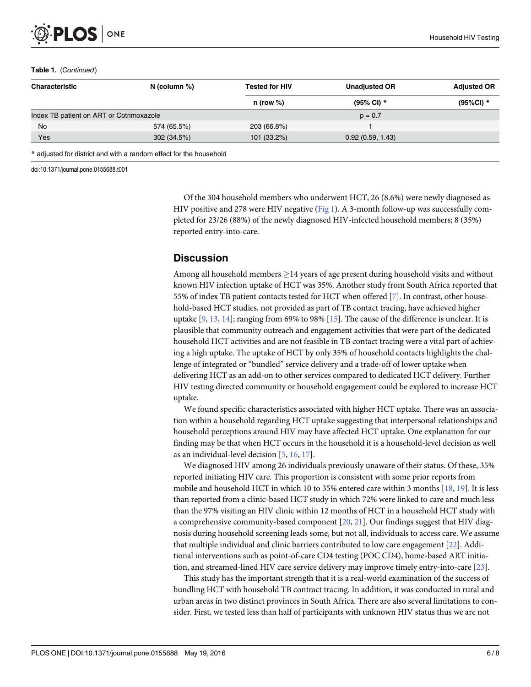## <span id="page-5-0"></span>**PLOS I** ONE

#### Table 1. (Continued)

| <b>Characteristic</b>                    | N (column %) | <b>Tested for HIV</b> | <b>Unadjusted OR</b>  | <b>Adjusted OR</b> |
|------------------------------------------|--------------|-----------------------|-----------------------|--------------------|
|                                          |              | n (row $\%$ )         | $(95\% \text{ Cl})$ * | $(95\%CI)*$        |
| Index TB patient on ART or Cotrimoxazole |              |                       | $p = 0.7$             |                    |
| <b>No</b>                                | 574 (65.5%)  | 203 (66.8%)           |                       |                    |
| Yes                                      | 302 (34.5%)  | 101 (33.2%)           | 0.92(0.59, 1.43)      |                    |
|                                          |              |                       |                       |                    |

\* adjusted for district and with a random effect for the household

doi:10.1371/journal.pone.0155688.t001

Of the 304 household members who underwent HCT, 26 (8.6%) were newly diagnosed as HIV positive and 278 were HIV negative ([Fig 1](#page-3-0)). A 3-month follow-up was successfully completed for 23/26 (88%) of the newly diagnosed HIV-infected household members; 8 (35%) reported entry-into-care.

## **Discussion**

Among all household members  $\geq 14$  years of age present during household visits and without known HIV infection uptake of HCT was 35%. Another study from South Africa reported that 55% of index TB patient contacts tested for HCT when offered [\[7](#page-6-0)]. In contrast, other household-based HCT studies, not provided as part of TB contact tracing, have achieved higher uptake  $[9, 13, 14]$  $[9, 13, 14]$  $[9, 13, 14]$  $[9, 13, 14]$  $[9, 13, 14]$  $[9, 13, 14]$  $[9, 13, 14]$ ; ranging from 69% to 98%  $[15]$ . The cause of the difference is unclear. It is plausible that community outreach and engagement activities that were part of the dedicated household HCT activities and are not feasible in TB contact tracing were a vital part of achieving a high uptake. The uptake of HCT by only 35% of household contacts highlights the challenge of integrated or "bundled" service delivery and a trade-off of lower uptake when delivering HCT as an add-on to other services compared to dedicated HCT delivery. Further HIV testing directed community or household engagement could be explored to increase HCT uptake.

We found specific characteristics associated with higher HCT uptake. There was an association within a household regarding HCT uptake suggesting that interpersonal relationships and household perceptions around HIV may have affected HCT uptake. One explanation for our finding may be that when HCT occurs in the household it is a household-level decision as well as an individual-level decision [[5,](#page-6-0) [16,](#page-7-0) [17\]](#page-7-0).

We diagnosed HIV among 26 individuals previously unaware of their status. Of these, 35% reported initiating HIV care. This proportion is consistent with some prior reports from mobile and household HCT in which 10 to 35% entered care within 3 months [[18](#page-7-0), [19](#page-7-0)]. It is less than reported from a clinic-based HCT study in which 72% were linked to care and much less than the 97% visiting an HIV clinic within 12 months of HCT in a household HCT study with a comprehensive community-based component [[20](#page-7-0), [21](#page-7-0)]. Our findings suggest that HIV diagnosis during household screening leads some, but not all, individuals to access care. We assume that multiple individual and clinic barriers contributed to low care engagement [[22](#page-7-0)]. Additional interventions such as point-of-care CD4 testing (POC CD4), home-based ART initiation, and streamed-lined HIV care service delivery may improve timely entry-into-care [\[23\]](#page-7-0).

This study has the important strength that it is a real-world examination of the success of bundling HCT with household TB contract tracing. In addition, it was conducted in rural and urban areas in two distinct provinces in South Africa. There are also several limitations to consider. First, we tested less than half of participants with unknown HIV status thus we are not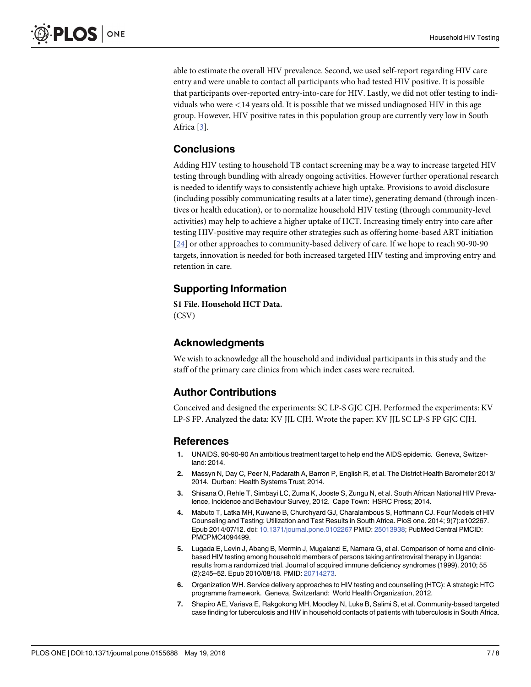<span id="page-6-0"></span>able to estimate the overall HIV prevalence. Second, we used self-report regarding HIV care entry and were unable to contact all participants who had tested HIV positive. It is possible that participants over-reported entry-into-care for HIV. Lastly, we did not offer testing to individuals who were  $\leq$  14 years old. It is possible that we missed undiagnosed HIV in this age group. However, HIV positive rates in this population group are currently very low in South Africa [3].

## **Conclusions**

Adding HIV testing to household TB contact screening may be a way to increase targeted HIV testing through bundling with already ongoing activities. However further operational research is needed to identify ways to consistently achieve high uptake. Provisions to avoid disclosure (including possibly communicating results at a later time), generating demand (through incentives or health education), or to normalize household HIV testing (through community-level activities) may help to achieve a higher uptake of HCT. Increasing timely entry into care after testing HIV-positive may require other strategies such as offering home-based ART initiation [\[24](#page-7-0)] or other approaches to community-based delivery of care. If we hope to reach 90-90-90 targets, innovation is needed for both increased targeted HIV testing and improving entry and retention in care.

## Supporting Information

[S1 File.](http://www.plosone.org/article/fetchSingleRepresentation.action?uri=info:doi/10.1371/journal.pone.0155688.s001) Household HCT Data. (CSV)

## Acknowledgments

We wish to acknowledge all the household and individual participants in this study and the staff of the primary care clinics from which index cases were recruited.

## Author Contributions

Conceived and designed the experiments: SC LP-S GJC CJH. Performed the experiments: KV LP-S FP. Analyzed the data: KV JJL CJH. Wrote the paper: KV JJL SC LP-S FP GJC CJH.

## References

- [1.](#page-1-0) UNAIDS. 90-90-90 An ambitious treatment target to help end the AIDS epidemic. Geneva, Switzerland: 2014.
- [2.](#page-1-0) Massyn N, Day C, Peer N, Padarath A, Barron P, English R, et al. The District Health Barometer 2013/ 2014. Durban: Health Systems Trust; 2014.
- [3.](#page-1-0) Shisana O, Rehle T, Simbayi LC, Zuma K, Jooste S, Zungu N, et al. South African National HIV Prevalence, Incidence and Behaviour Survey, 2012. Cape Town: HSRC Press; 2014.
- [4.](#page-1-0) Mabuto T, Latka MH, Kuwane B, Churchyard GJ, Charalambous S, Hoffmann CJ. Four Models of HIV Counseling and Testing: Utilization and Test Results in South Africa. PloS one. 2014; 9(7):e102267. Epub 2014/07/12. doi: [10.1371/journal.pone.0102267](http://dx.doi.org/10.1371/journal.pone.0102267) PMID: [25013938](http://www.ncbi.nlm.nih.gov/pubmed/25013938); PubMed Central PMCID: PMCPMC4094499.
- [5.](#page-1-0) Lugada E, Levin J, Abang B, Mermin J, Mugalanzi E, Namara G, et al. Comparison of home and clinicbased HIV testing among household members of persons taking antiretroviral therapy in Uganda: results from a randomized trial. Journal of acquired immune deficiency syndromes (1999). 2010; 55 (2):245–52. Epub 2010/08/18. PMID: [20714273.](http://www.ncbi.nlm.nih.gov/pubmed/20714273)
- [6.](#page-1-0) Organization WH. Service delivery approaches to HIV testing and counselling (HTC): A strategic HTC programme framework. Geneva, Switzerland: World Health Organization, 2012.
- [7.](#page-1-0) Shapiro AE, Variava E, Rakgokong MH, Moodley N, Luke B, Salimi S, et al. Community-based targeted case finding for tuberculosis and HIV in household contacts of patients with tuberculosis in South Africa.